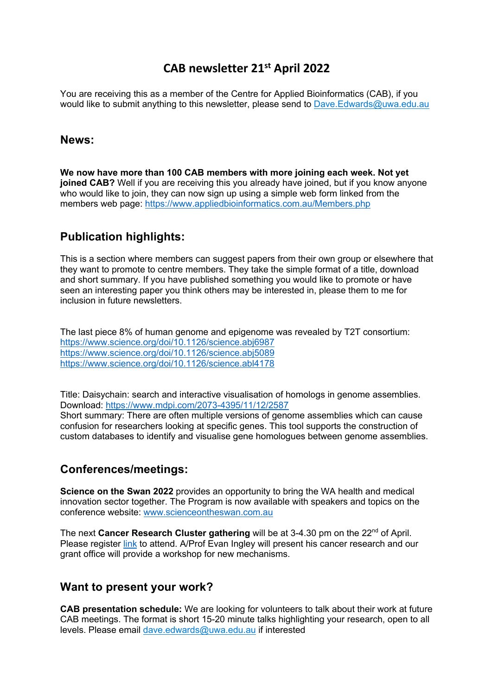## **CAB newsletter 21st April 2022**

You are receiving this as a member of the Centre for Applied Bioinformatics (CAB), if you would like to submit anything to this newsletter, please send to Dave.Edwards@uwa.edu.au

#### **News:**

**We now have more than 100 CAB members with more joining each week. Not yet joined CAB?** Well if you are receiving this you already have joined, but if you know anyone who would like to join, they can now sign up using a simple web form linked from the members web page: https://www.appliedbioinformatics.com.au/Members.php

## **Publication highlights:**

This is a section where members can suggest papers from their own group or elsewhere that they want to promote to centre members. They take the simple format of a title, download and short summary. If you have published something you would like to promote or have seen an interesting paper you think others may be interested in, please them to me for inclusion in future newsletters.

The last piece 8% of human genome and epigenome was revealed by T2T consortium: https://www.science.org/doi/10.1126/science.abj6987 https://www.science.org/doi/10.1126/science.abj5089 https://www.science.org/doi/10.1126/science.abl4178

Title: Daisychain: search and interactive visualisation of homologs in genome assemblies. Download: https://www.mdpi.com/2073-4395/11/12/2587 Short summary: There are often multiple versions of genome assemblies which can cause confusion for researchers looking at specific genes. This tool supports the construction of custom databases to identify and visualise gene homologues between genome assemblies.

## **Conferences/meetings:**

**Science on the Swan 2022** provides an opportunity to bring the WA health and medical innovation sector together. The Program is now available with speakers and topics on the conference website: www.scienceontheswan.com.au

The next **Cancer Research Cluster gathering** will be at 3-4.30 pm on the 22<sup>nd</sup> of April. Please register link to attend. A/Prof Evan Ingley will present his cancer research and our grant office will provide a workshop for new mechanisms.

## **Want to present your work?**

**CAB presentation schedule:** We are looking for volunteers to talk about their work at future CAB meetings. The format is short 15-20 minute talks highlighting your research, open to all levels. Please email dave.edwards@uwa.edu.au if interested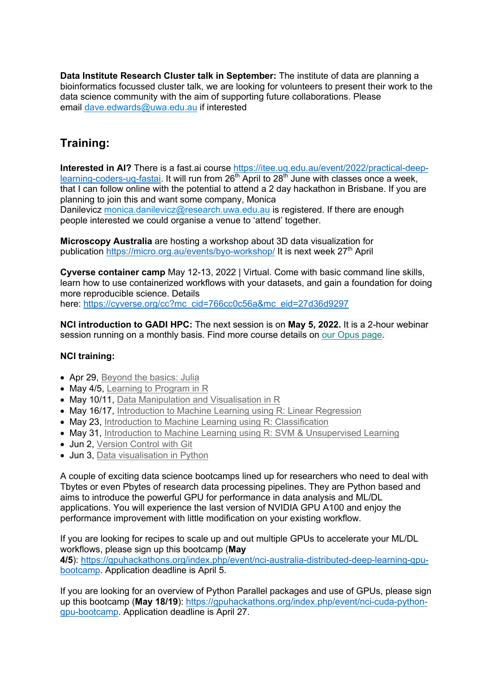**Data Institute Research Cluster talk in September:** The institute of data are planning a bioinformatics focussed cluster talk, we are looking for volunteers to present their work to the data science community with the aim of supporting future collaborations. Please email dave.edwards@uwa.edu.au if interested

# **Training:**

**Interested in AI?** There is a fast.ai course https://itee.uq.edu.au/event/2022/practical-deeplearning-coders-uq-fastai. It will run from 26<sup>th</sup> April to 28<sup>th</sup> June with classes once a week, that I can follow online with the potential to attend a 2 day hackathon in Brisbane. If you are planning to join this and want some company, Monica

Danilevicz monica.danilevicz@research.uwa.edu.au is registered. If there are enough people interested we could organise a venue to 'attend' together.

**Microscopy Australia** are hosting a workshop about 3D data visualization for publication https://micro.org.au/events/byo-workshop/ It is next week 27<sup>th</sup> April

**Cyverse container camp** May 12-13, 2022 | Virtual. Come with basic command line skills, learn how to use containerized workflows with your datasets, and gain a foundation for doing more reproducible science. Details here: https://cyverse.org/cc?mc\_cid=766cc0c56a&mc\_eid=27d36d9297

**NCI introduction to GADI HPC:** The next session is on **May 5, 2022.** It is a 2-hour webinar session running on a monthly basis. Find more course details on our Opus page.

#### **NCI training:**

- Apr 29, Bevond the basics: Julia
- May 4/5, Learning to Program in R
- May 10/11, Data Manipulation and Visualisation in R
- May 16/17, Introduction to Machine Learning using R: Linear Regression
- May 23, Introduction to Machine Learning using R: Classification
- May 31, Introduction to Machine Learning using R: SVM & Unsupervised Learning
- Jun 2, Version Control with Git
- Jun 3, Data visualisation in Python

A couple of exciting data science bootcamps lined up for researchers who need to deal with Tbytes or even Pbytes of research data processing pipelines. They are Python based and aims to introduce the powerful GPU for performance in data analysis and ML/DL applications. You will experience the last version of NVIDIA GPU A100 and enjoy the performance improvement with little modification on your existing workflow.

If you are looking for recipes to scale up and out multiple GPUs to accelerate your ML/DL workflows, please sign up this bootcamp (**May** 

**4/5**): https://gpuhackathons.org/index.php/event/nci-australia-distributed-deep-learning-gpubootcamp. Application deadline is April 5.

If you are looking for an overview of Python Parallel packages and use of GPUs, please sign up this bootcamp (May 18/19): https://gpuhackathons.org/index.php/event/nci-cuda-pythongpu-bootcamp. Application deadline is April 27.